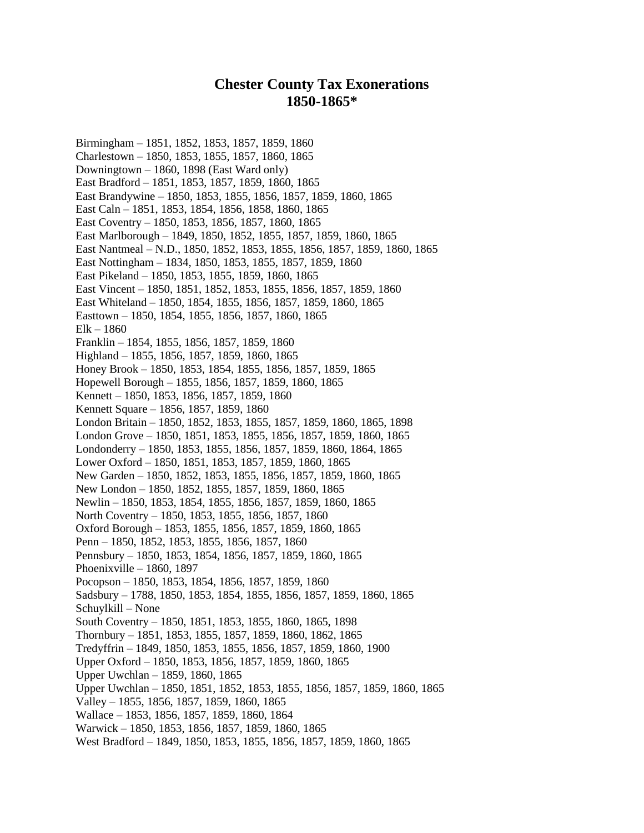## **Chester County Tax Exonerations 1850-1865\***

Birmingham – 1851, 1852, 1853, 1857, 1859, 1860 Charlestown – 1850, 1853, 1855, 1857, 1860, 1865 Downingtown – 1860, 1898 (East Ward only) East Bradford – 1851, 1853, 1857, 1859, 1860, 1865 East Brandywine – 1850, 1853, 1855, 1856, 1857, 1859, 1860, 1865 East Caln – 1851, 1853, 1854, 1856, 1858, 1860, 1865 East Coventry – 1850, 1853, 1856, 1857, 1860, 1865 East Marlborough – 1849, 1850, 1852, 1855, 1857, 1859, 1860, 1865 East Nantmeal – N.D., 1850, 1852, 1853, 1855, 1856, 1857, 1859, 1860, 1865 East Nottingham – 1834, 1850, 1853, 1855, 1857, 1859, 1860 East Pikeland – 1850, 1853, 1855, 1859, 1860, 1865 East Vincent – 1850, 1851, 1852, 1853, 1855, 1856, 1857, 1859, 1860 East Whiteland – 1850, 1854, 1855, 1856, 1857, 1859, 1860, 1865 Easttown – 1850, 1854, 1855, 1856, 1857, 1860, 1865 Elk – 1860 Franklin – 1854, 1855, 1856, 1857, 1859, 1860 Highland – 1855, 1856, 1857, 1859, 1860, 1865 Honey Brook – 1850, 1853, 1854, 1855, 1856, 1857, 1859, 1865 Hopewell Borough – 1855, 1856, 1857, 1859, 1860, 1865 Kennett – 1850, 1853, 1856, 1857, 1859, 1860 Kennett Square – 1856, 1857, 1859, 1860 London Britain – 1850, 1852, 1853, 1855, 1857, 1859, 1860, 1865, 1898 London Grove – 1850, 1851, 1853, 1855, 1856, 1857, 1859, 1860, 1865 Londonderry – 1850, 1853, 1855, 1856, 1857, 1859, 1860, 1864, 1865 Lower Oxford – 1850, 1851, 1853, 1857, 1859, 1860, 1865 New Garden – 1850, 1852, 1853, 1855, 1856, 1857, 1859, 1860, 1865 New London – 1850, 1852, 1855, 1857, 1859, 1860, 1865 Newlin – 1850, 1853, 1854, 1855, 1856, 1857, 1859, 1860, 1865 North Coventry – 1850, 1853, 1855, 1856, 1857, 1860 Oxford Borough – 1853, 1855, 1856, 1857, 1859, 1860, 1865 Penn – 1850, 1852, 1853, 1855, 1856, 1857, 1860 Pennsbury – 1850, 1853, 1854, 1856, 1857, 1859, 1860, 1865 Phoenixville – 1860, 1897 Pocopson – 1850, 1853, 1854, 1856, 1857, 1859, 1860 Sadsbury – 1788, 1850, 1853, 1854, 1855, 1856, 1857, 1859, 1860, 1865 Schuylkill – None South Coventry – 1850, 1851, 1853, 1855, 1860, 1865, 1898 Thornbury – 1851, 1853, 1855, 1857, 1859, 1860, 1862, 1865 Tredyffrin – 1849, 1850, 1853, 1855, 1856, 1857, 1859, 1860, 1900 Upper Oxford – 1850, 1853, 1856, 1857, 1859, 1860, 1865 Upper Uwchlan – 1859, 1860, 1865 Upper Uwchlan – 1850, 1851, 1852, 1853, 1855, 1856, 1857, 1859, 1860, 1865 Valley – 1855, 1856, 1857, 1859, 1860, 1865 Wallace – 1853, 1856, 1857, 1859, 1860, 1864 Warwick – 1850, 1853, 1856, 1857, 1859, 1860, 1865 West Bradford – 1849, 1850, 1853, 1855, 1856, 1857, 1859, 1860, 1865